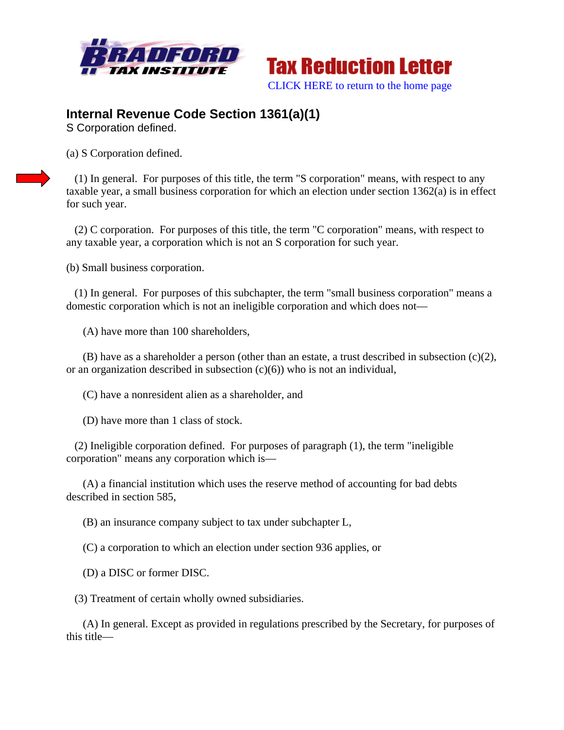



## **Internal Revenue Code Section 1361(a)(1)**

S Corporation defined.

(a) S Corporation defined.

 (1) In general. For purposes of this title, the term "S corporation" means, with respect to any taxable year, a small business corporation for which an election under section 1362(a) is in effect for such year.

 (2) C corporation. For purposes of this title, the term "C corporation" means, with respect to any taxable year, a corporation which is not an S corporation for such year.

(b) Small business corporation.

 (1) In general. For purposes of this subchapter, the term "small business corporation" means a domestic corporation which is not an ineligible corporation and which does not—

(A) have more than 100 shareholders,

 (B) have as a shareholder a person (other than an estate, a trust described in subsection (c)(2), or an organization described in subsection  $(c)(6)$ ) who is not an individual,

(C) have a nonresident alien as a shareholder, and

(D) have more than 1 class of stock.

 (2) Ineligible corporation defined. For purposes of paragraph (1), the term "ineligible corporation" means any corporation which is—

 (A) a financial institution which uses the reserve method of accounting for bad debts described in section 585,

(B) an insurance company subject to tax under subchapter L,

(C) a corporation to which an election under section 936 applies, or

(D) a DISC or former DISC.

(3) Treatment of certain wholly owned subsidiaries.

 (A) In general. Except as provided in regulations prescribed by the Secretary, for purposes of this title—